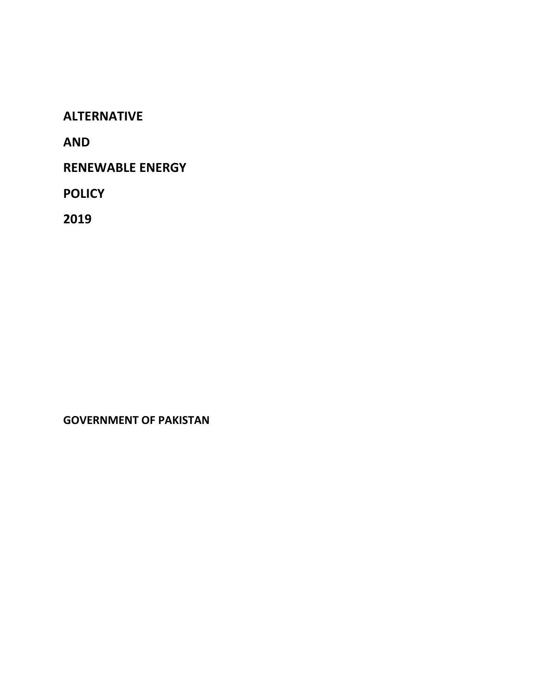**ALTERNATIVE**

**AND**

**RENEWABLE ENERGY**

**POLICY**

**2019**

**GOVERNMENT OF PAKISTAN**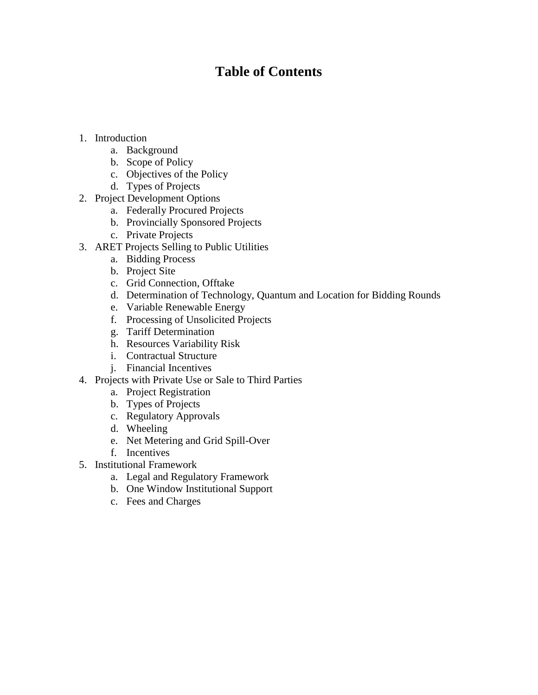# **Table of Contents**

- 1. Introduction
	- a. Background
	- b. Scope of Policy
	- c. Objectives of the Policy
	- d. Types of Projects
- 2. Project Development Options
	- a. Federally Procured Projects
	- b. Provincially Sponsored Projects
	- c. Private Projects
- 3. ARET Projects Selling to Public Utilities
	- a. Bidding Process
	- b. Project Site
	- c. Grid Connection, Offtake
	- d. Determination of Technology, Quantum and Location for Bidding Rounds
	- e. Variable Renewable Energy
	- f. Processing of Unsolicited Projects
	- g. Tariff Determination
	- h. Resources Variability Risk
	- i. Contractual Structure
	- j. Financial Incentives
- 4. Projects with Private Use or Sale to Third Parties
	- a. Project Registration
	- b. Types of Projects
	- c. Regulatory Approvals
	- d. Wheeling
	- e. Net Metering and Grid Spill-Over
	- f. Incentives
- 5. Institutional Framework
	- a. Legal and Regulatory Framework
	- b. One Window Institutional Support
	- c. Fees and Charges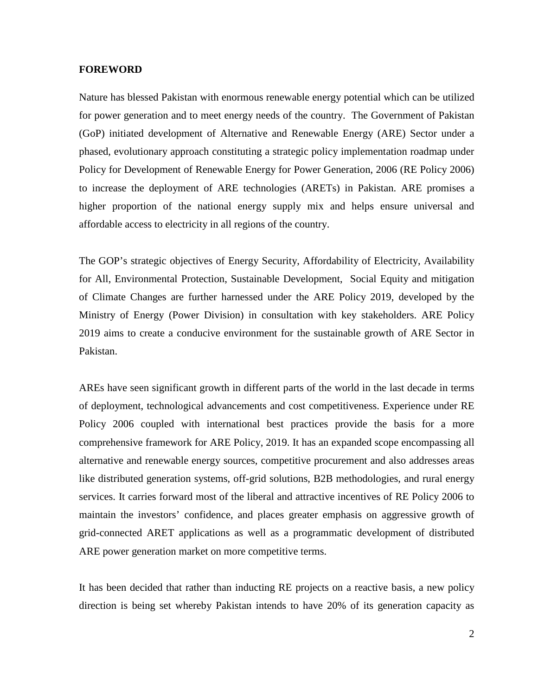#### **FOREWORD**

Nature has blessed Pakistan with enormous renewable energy potential which can be utilized for power generation and to meet energy needs of the country. The Government of Pakistan (GoP) initiated development of Alternative and Renewable Energy (ARE) Sector under a phased, evolutionary approach constituting a strategic policy implementation roadmap under Policy for Development of Renewable Energy for Power Generation, 2006 (RE Policy 2006) to increase the deployment of ARE technologies (ARETs) in Pakistan. ARE promises a higher proportion of the national energy supply mix and helps ensure universal and affordable access to electricity in all regions of the country.

The GOP's strategic objectives of Energy Security, Affordability of Electricity, Availability for All, Environmental Protection, Sustainable Development, Social Equity and mitigation of Climate Changes are further harnessed under the ARE Policy 2019, developed by the Ministry of Energy (Power Division) in consultation with key stakeholders. ARE Policy 2019 aims to create a conducive environment for the sustainable growth of ARE Sector in Pakistan.

AREs have seen significant growth in different parts of the world in the last decade in terms of deployment, technological advancements and cost competitiveness. Experience under RE Policy 2006 coupled with international best practices provide the basis for a more comprehensive framework for ARE Policy, 2019. It has an expanded scope encompassing all alternative and renewable energy sources, competitive procurement and also addresses areas like distributed generation systems, off-grid solutions, B2B methodologies, and rural energy services. It carries forward most of the liberal and attractive incentives of RE Policy 2006 to maintain the investors' confidence, and places greater emphasis on aggressive growth of grid-connected ARET applications as well as a programmatic development of distributed ARE power generation market on more competitive terms.

It has been decided that rather than inducting RE projects on a reactive basis, a new policy direction is being set whereby Pakistan intends to have 20% of its generation capacity as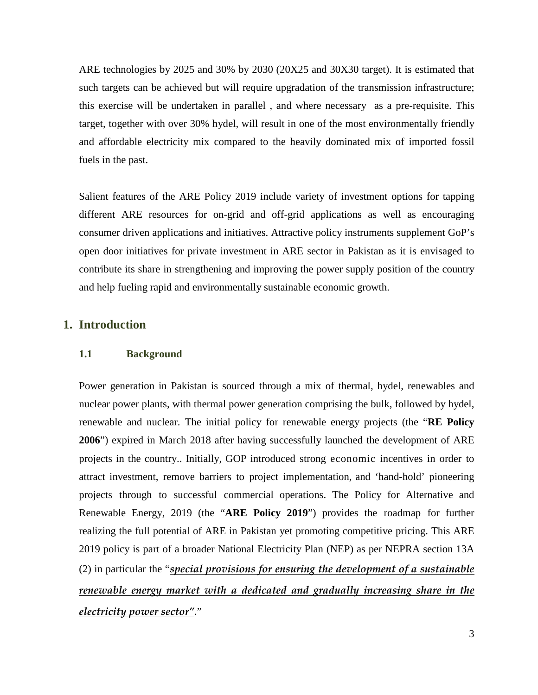ARE technologies by 2025 and 30% by 2030 (20X25 and 30X30 target). It is estimated that such targets can be achieved but will require upgradation of the transmission infrastructure; this exercise will be undertaken in parallel , and where necessary as a pre-requisite. This target, together with over 30% hydel, will result in one of the most environmentally friendly and affordable electricity mix compared to the heavily dominated mix of imported fossil fuels in the past.

Salient features of the ARE Policy 2019 include variety of investment options for tapping different ARE resources for on-grid and off-grid applications as well as encouraging consumer driven applications and initiatives. Attractive policy instruments supplement GoP's open door initiatives for private investment in ARE sector in Pakistan as it is envisaged to contribute its share in strengthening and improving the power supply position of the country and help fueling rapid and environmentally sustainable economic growth.

# **1. Introduction**

# **1.1 Background**

Power generation in Pakistan is sourced through a mix of thermal, hydel, renewables and nuclear power plants, with thermal power generation comprising the bulk, followed by hydel, renewable and nuclear. The initial policy for renewable energy projects (the "**RE Policy 2006**") expired in March 2018 after having successfully launched the development of ARE projects in the country.. Initially, GOP introduced strong economic incentives in order to attract investment, remove barriers to project implementation, and 'hand-hold' pioneering projects through to successful commercial operations. The Policy for Alternative and Renewable Energy, 2019 (the "**ARE Policy 2019**") provides the roadmap for further realizing the full potential of ARE in Pakistan yet promoting competitive pricing. This ARE 2019 policy is part of a broader National Electricity Plan (NEP) as per NEPRA section 13A (2) in particular the "*special provisions for ensuring the development of a sustainable renewable energy market with a dedicated and gradually increasing share in the electricity power sector"*."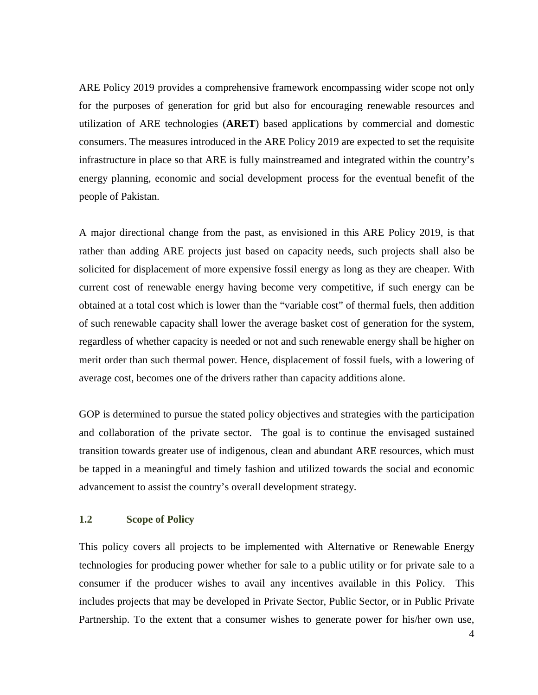ARE Policy 2019 provides a comprehensive framework encompassing wider scope not only for the purposes of generation for grid but also for encouraging renewable resources and utilization of ARE technologies (**ARET**) based applications by commercial and domestic consumers. The measures introduced in the ARE Policy 2019 are expected to set the requisite infrastructure in place so that ARE is fully mainstreamed and integrated within the country's energy planning, economic and social development process for the eventual benefit of the people of Pakistan.

A major directional change from the past, as envisioned in this ARE Policy 2019, is that rather than adding ARE projects just based on capacity needs, such projects shall also be solicited for displacement of more expensive fossil energy as long as they are cheaper. With current cost of renewable energy having become very competitive, if such energy can be obtained at a total cost which is lower than the "variable cost" of thermal fuels, then addition of such renewable capacity shall lower the average basket cost of generation for the system, regardless of whether capacity is needed or not and such renewable energy shall be higher on merit order than such thermal power. Hence, displacement of fossil fuels, with a lowering of average cost, becomes one of the drivers rather than capacity additions alone.

GOP is determined to pursue the stated policy objectives and strategies with the participation and collaboration of the private sector. The goal is to continue the envisaged sustained transition towards greater use of indigenous, clean and abundant ARE resources, which must be tapped in a meaningful and timely fashion and utilized towards the social and economic advancement to assist the country's overall development strategy.

#### **1.2 Scope of Policy**

This policy covers all projects to be implemented with Alternative or Renewable Energy technologies for producing power whether for sale to a public utility or for private sale to a consumer if the producer wishes to avail any incentives available in this Policy. This includes projects that may be developed in Private Sector, Public Sector, or in Public Private Partnership. To the extent that a consumer wishes to generate power for his/her own use,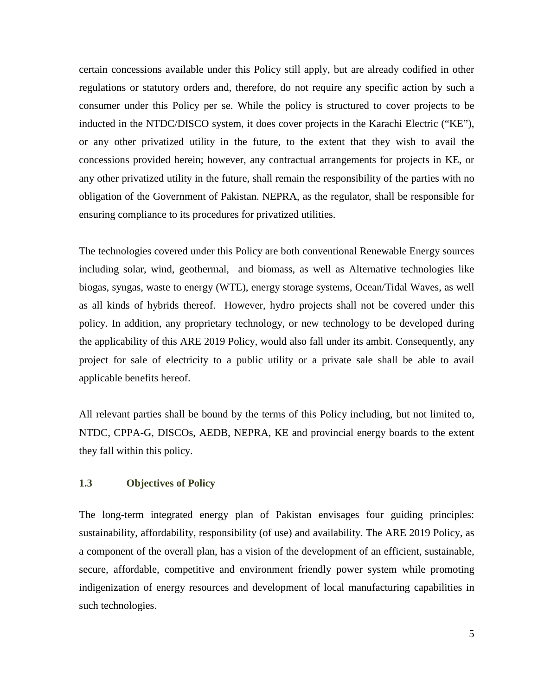certain concessions available under this Policy still apply, but are already codified in other regulations or statutory orders and, therefore, do not require any specific action by such a consumer under this Policy per se. While the policy is structured to cover projects to be inducted in the NTDC/DISCO system, it does cover projects in the Karachi Electric ("KE"), or any other privatized utility in the future, to the extent that they wish to avail the concessions provided herein; however, any contractual arrangements for projects in KE, or any other privatized utility in the future, shall remain the responsibility of the parties with no obligation of the Government of Pakistan. NEPRA, as the regulator, shall be responsible for ensuring compliance to its procedures for privatized utilities.

The technologies covered under this Policy are both conventional Renewable Energy sources including solar, wind, geothermal, and biomass, as well as Alternative technologies like biogas, syngas, waste to energy (WTE), energy storage systems, Ocean/Tidal Waves, as well as all kinds of hybrids thereof. However, hydro projects shall not be covered under this policy. In addition, any proprietary technology, or new technology to be developed during the applicability of this ARE 2019 Policy, would also fall under its ambit. Consequently, any project for sale of electricity to a public utility or a private sale shall be able to avail applicable benefits hereof.

All relevant parties shall be bound by the terms of this Policy including, but not limited to, NTDC, CPPA-G, DISCOs, AEDB, NEPRA, KE and provincial energy boards to the extent they fall within this policy.

# **1.3 Objectives of Policy**

The long-term integrated energy plan of Pakistan envisages four guiding principles: sustainability, affordability, responsibility (of use) and availability. The ARE 2019 Policy, as a component of the overall plan, has a vision of the development of an efficient, sustainable, secure, affordable, competitive and environment friendly power system while promoting indigenization of energy resources and development of local manufacturing capabilities in such technologies.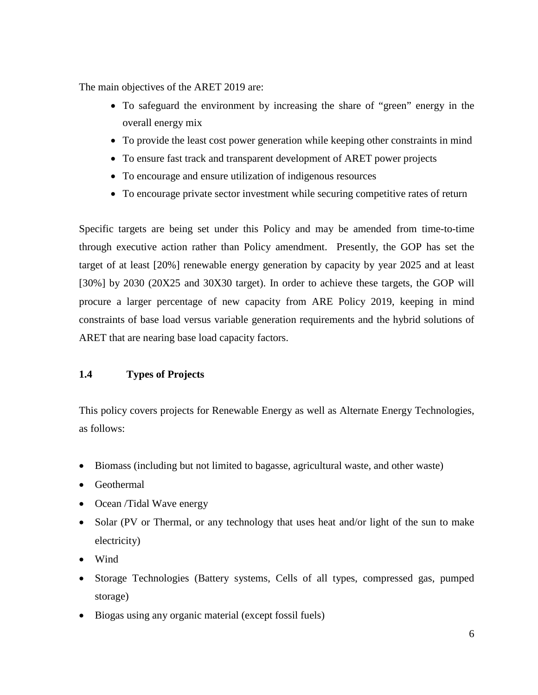The main objectives of the ARET 2019 are:

- To safeguard the environment by increasing the share of "green" energy in the overall energy mix
- To provide the least cost power generation while keeping other constraints in mind
- To ensure fast track and transparent development of ARET power projects
- To encourage and ensure utilization of indigenous resources
- To encourage private sector investment while securing competitive rates of return

Specific targets are being set under this Policy and may be amended from time-to-time through executive action rather than Policy amendment. Presently, the GOP has set the target of at least [20%] renewable energy generation by capacity by year 2025 and at least [30%] by 2030 (20X25 and 30X30 target). In order to achieve these targets, the GOP will procure a larger percentage of new capacity from ARE Policy 2019, keeping in mind constraints of base load versus variable generation requirements and the hybrid solutions of ARET that are nearing base load capacity factors.

# **1.4 Types of Projects**

This policy covers projects for Renewable Energy as well as Alternate Energy Technologies, as follows:

- Biomass (including but not limited to bagasse, agricultural waste, and other waste)
- Geothermal
- Ocean /Tidal Wave energy
- Solar (PV or Thermal, or any technology that uses heat and/or light of the sun to make electricity)
- Wind
- Storage Technologies (Battery systems, Cells of all types, compressed gas, pumped storage)
- Biogas using any organic material (except fossil fuels)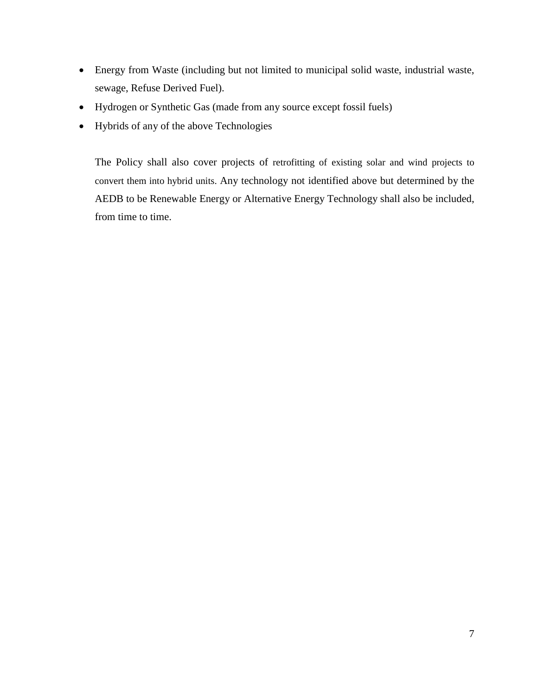- Energy from Waste (including but not limited to municipal solid waste, industrial waste, sewage, Refuse Derived Fuel).
- Hydrogen or Synthetic Gas (made from any source except fossil fuels)
- Hybrids of any of the above Technologies

The Policy shall also cover projects of retrofitting of existing solar and wind projects to convert them into hybrid units. Any technology not identified above but determined by the AEDB to be Renewable Energy or Alternative Energy Technology shall also be included, from time to time.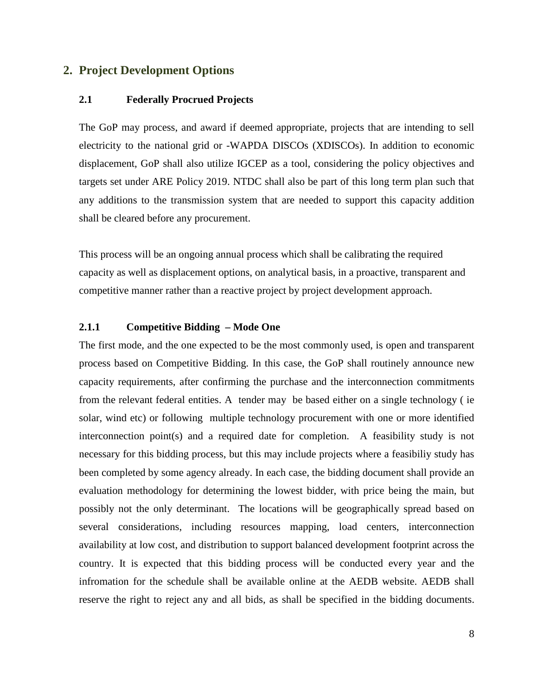# **2. Project Development Options**

#### **2.1 Federally Procrued Projects**

The GoP may process, and award if deemed appropriate, projects that are intending to sell electricity to the national grid or -WAPDA DISCOs (XDISCOs). In addition to economic displacement, GoP shall also utilize IGCEP as a tool, considering the policy objectives and targets set under ARE Policy 2019. NTDC shall also be part of this long term plan such that any additions to the transmission system that are needed to support this capacity addition shall be cleared before any procurement.

This process will be an ongoing annual process which shall be calibrating the required capacity as well as displacement options, on analytical basis, in a proactive, transparent and competitive manner rather than a reactive project by project development approach.

#### **2.1.1 Competitive Bidding – Mode One**

The first mode, and the one expected to be the most commonly used, is open and transparent process based on Competitive Bidding. In this case, the GoP shall routinely announce new capacity requirements, after confirming the purchase and the interconnection commitments from the relevant federal entities. A tender may be based either on a single technology ( ie solar, wind etc) or following multiple technology procurement with one or more identified interconnection point(s) and a required date for completion. A feasibility study is not necessary for this bidding process, but this may include projects where a feasibiliy study has been completed by some agency already. In each case, the bidding document shall provide an evaluation methodology for determining the lowest bidder, with price being the main, but possibly not the only determinant. The locations will be geographically spread based on several considerations, including resources mapping, load centers, interconnection availability at low cost, and distribution to support balanced development footprint across the country. It is expected that this bidding process will be conducted every year and the infromation for the schedule shall be available online at the AEDB website. AEDB shall reserve the right to reject any and all bids, as shall be specified in the bidding documents.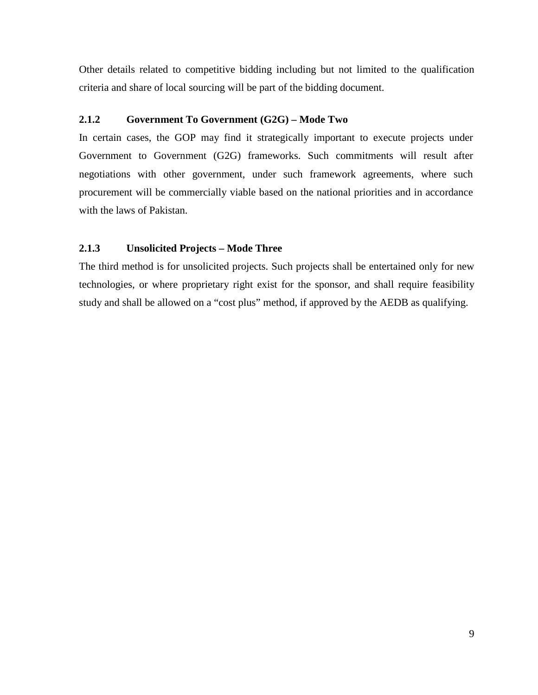Other details related to competitive bidding including but not limited to the qualification criteria and share of local sourcing will be part of the bidding document.

# **2.1.2 Government To Government (G2G) – Mode Two**

In certain cases, the GOP may find it strategically important to execute projects under Government to Government (G2G) frameworks. Such commitments will result after negotiations with other government, under such framework agreements, where such procurement will be commercially viable based on the national priorities and in accordance with the laws of Pakistan.

# **2.1.3 Unsolicited Projects – Mode Three**

The third method is for unsolicited projects. Such projects shall be entertained only for new technologies, or where proprietary right exist for the sponsor, and shall require feasibility study and shall be allowed on a "cost plus" method, if approved by the AEDB as qualifying.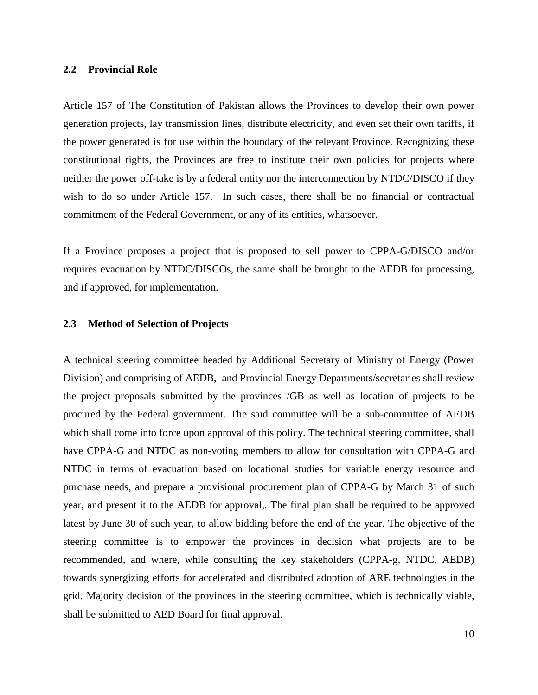#### **2.2 Provincial Role**

Article 157 of The Constitution of Pakistan allows the Provinces to develop their own power generation projects, lay transmission lines, distribute electricity, and even set their own tariffs, if the power generated is for use within the boundary of the relevant Province. Recognizing these constitutional rights, the Provinces are free to institute their own policies for projects where neither the power off-take is by a federal entity nor the interconnection by NTDC/DISCO if they wish to do so under Article 157. In such cases, there shall be no financial or contractual commitment of the Federal Government, or any of its entities, whatsoever.

If a Province proposes a project that is proposed to sell power to CPPA-G/DISCO and/or requires evacuation by NTDC/DISCOs, the same shall be brought to the AEDB for processing, and if approved, for implementation.

#### **2.3 Method of Selection of Projects**

A technical steering committee headed by Additional Secretary of Ministry of Energy (Power Division) and comprising of AEDB, and Provincial Energy Departments/secretaries shall review the project proposals submitted by the provinces /GB as well as location of projects to be procured by the Federal government. The said committee will be a sub-committee of AEDB which shall come into force upon approval of this policy. The technical steering committee, shall have CPPA-G and NTDC as non-voting members to allow for consultation with CPPA-G and NTDC in terms of evacuation based on locational studies for variable energy resource and purchase needs, and prepare a provisional procurement plan of CPPA-G by March 31 of such year, and present it to the AEDB for approval,. The final plan shall be required to be approved latest by June 30 of such year, to allow bidding before the end of the year. The objective of the steering committee is to empower the provinces in decision what projects are to be recommended, and where, while consulting the key stakeholders (CPPA-g, NTDC, AEDB) towards synergizing efforts for accelerated and distributed adoption of ARE technologies in the grid. Majority decision of the provinces in the steering committee, which is technically viable, shall be submitted to AED Board for final approval.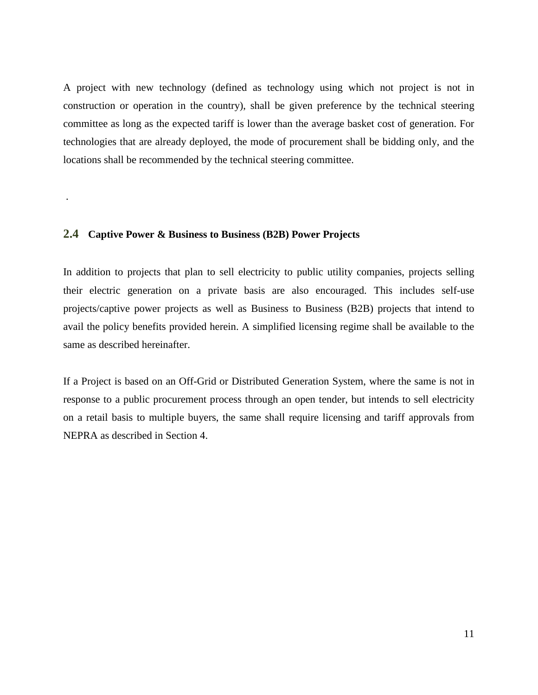A project with new technology (defined as technology using which not project is not in construction or operation in the country), shall be given preference by the technical steering committee as long as the expected tariff is lower than the average basket cost of generation. For technologies that are already deployed, the mode of procurement shall be bidding only, and the locations shall be recommended by the technical steering committee.

# **2.4 Captive Power & Business to Business (B2B) Power Projects**

.

In addition to projects that plan to sell electricity to public utility companies, projects selling their electric generation on a private basis are also encouraged. This includes self-use projects/captive power projects as well as Business to Business (B2B) projects that intend to avail the policy benefits provided herein. A simplified licensing regime shall be available to the same as described hereinafter.

If a Project is based on an Off-Grid or Distributed Generation System, where the same is not in response to a public procurement process through an open tender, but intends to sell electricity on a retail basis to multiple buyers, the same shall require licensing and tariff approvals from NEPRA as described in Section 4.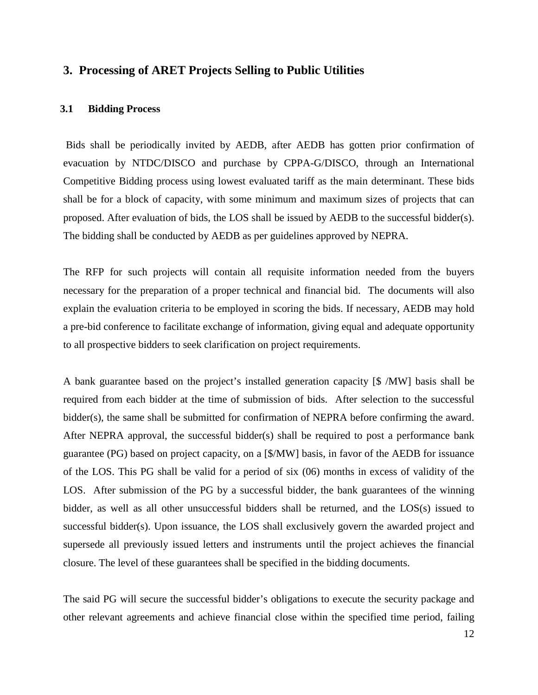# **3. Processing of ARET Projects Selling to Public Utilities**

#### **3.1 Bidding Process**

Bids shall be periodically invited by AEDB, after AEDB has gotten prior confirmation of evacuation by NTDC/DISCO and purchase by CPPA-G/DISCO, through an International Competitive Bidding process using lowest evaluated tariff as the main determinant. These bids shall be for a block of capacity, with some minimum and maximum sizes of projects that can proposed. After evaluation of bids, the LOS shall be issued by AEDB to the successful bidder(s). The bidding shall be conducted by AEDB as per guidelines approved by NEPRA.

The RFP for such projects will contain all requisite information needed from the buyers necessary for the preparation of a proper technical and financial bid. The documents will also explain the evaluation criteria to be employed in scoring the bids. If necessary, AEDB may hold a pre-bid conference to facilitate exchange of information, giving equal and adequate opportunity to all prospective bidders to seek clarification on project requirements.

A bank guarantee based on the project's installed generation capacity [\$ /MW] basis shall be required from each bidder at the time of submission of bids. After selection to the successful bidder(s), the same shall be submitted for confirmation of NEPRA before confirming the award. After NEPRA approval, the successful bidder(s) shall be required to post a performance bank guarantee (PG) based on project capacity, on a [\$/MW] basis, in favor of the AEDB for issuance of the LOS. This PG shall be valid for a period of six (06) months in excess of validity of the LOS. After submission of the PG by a successful bidder, the bank guarantees of the winning bidder, as well as all other unsuccessful bidders shall be returned, and the LOS(s) issued to successful bidder(s). Upon issuance, the LOS shall exclusively govern the awarded project and supersede all previously issued letters and instruments until the project achieves the financial closure. The level of these guarantees shall be specified in the bidding documents.

The said PG will secure the successful bidder's obligations to execute the security package and other relevant agreements and achieve financial close within the specified time period, failing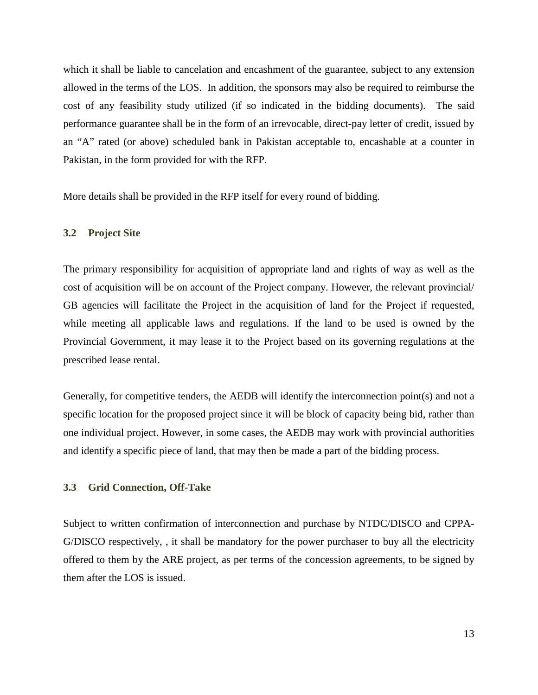which it shall be liable to cancelation and encashment of the guarantee, subject to any extension allowed in the terms of the LOS. In addition, the sponsors may also be required to reimburse the cost of any feasibility study utilized (if so indicated in the bidding documents). The said performance guarantee shall be in the form of an irrevocable, direct-pay letter of credit, issued by an "A" rated (or above) scheduled bank in Pakistan acceptable to, encashable at a counter in Pakistan, in the form provided for with the RFP.

More details shall be provided in the RFP itself for every round of bidding.

#### **3.2 Project Site**

The primary responsibility for acquisition of appropriate land and rights of way as well as the cost of acquisition will be on account of the Project company. However, the relevant provincial/ GB agencies will facilitate the Project in the acquisition of land for the Project if requested, while meeting all applicable laws and regulations. If the land to be used is owned by the Provincial Government, it may lease it to the Project based on its governing regulations at the prescribed lease rental.

Generally, for competitive tenders, the AEDB will identify the interconnection point(s) and not a specific location for the proposed project since it will be block of capacity being bid, rather than one individual project. However, in some cases, the AEDB may work with provincial authorities and identify a specific piece of land, that may then be made a part of the bidding process.

#### **3.3 Grid Connection, Off-Take**

Subject to written confirmation of interconnection and purchase by NTDC/DISCO and CPPA-G/DISCO respectively, , it shall be mandatory for the power purchaser to buy all the electricity offered to them by the ARE project, as per terms of the concession agreements, to be signed by them after the LOS is issued.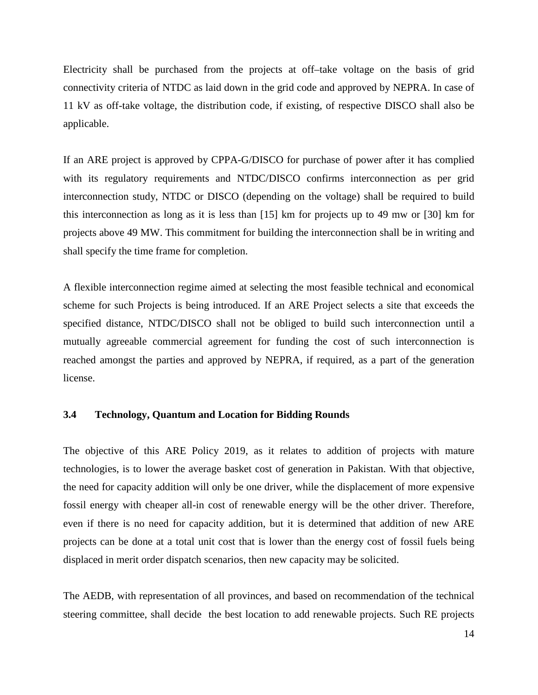Electricity shall be purchased from the projects at off–take voltage on the basis of grid connectivity criteria of NTDC as laid down in the grid code and approved by NEPRA. In case of 11 kV as off-take voltage, the distribution code, if existing, of respective DISCO shall also be applicable.

If an ARE project is approved by CPPA-G/DISCO for purchase of power after it has complied with its regulatory requirements and NTDC/DISCO confirms interconnection as per grid interconnection study, NTDC or DISCO (depending on the voltage) shall be required to build this interconnection as long as it is less than [15] km for projects up to 49 mw or [30] km for projects above 49 MW. This commitment for building the interconnection shall be in writing and shall specify the time frame for completion.

A flexible interconnection regime aimed at selecting the most feasible technical and economical scheme for such Projects is being introduced. If an ARE Project selects a site that exceeds the specified distance, NTDC/DISCO shall not be obliged to build such interconnection until a mutually agreeable commercial agreement for funding the cost of such interconnection is reached amongst the parties and approved by NEPRA, if required, as a part of the generation license.

#### **3.4 Technology, Quantum and Location for Bidding Rounds**

The objective of this ARE Policy 2019, as it relates to addition of projects with mature technologies, is to lower the average basket cost of generation in Pakistan. With that objective, the need for capacity addition will only be one driver, while the displacement of more expensive fossil energy with cheaper all-in cost of renewable energy will be the other driver. Therefore, even if there is no need for capacity addition, but it is determined that addition of new ARE projects can be done at a total unit cost that is lower than the energy cost of fossil fuels being displaced in merit order dispatch scenarios, then new capacity may be solicited.

The AEDB, with representation of all provinces, and based on recommendation of the technical steering committee, shall decide the best location to add renewable projects. Such RE projects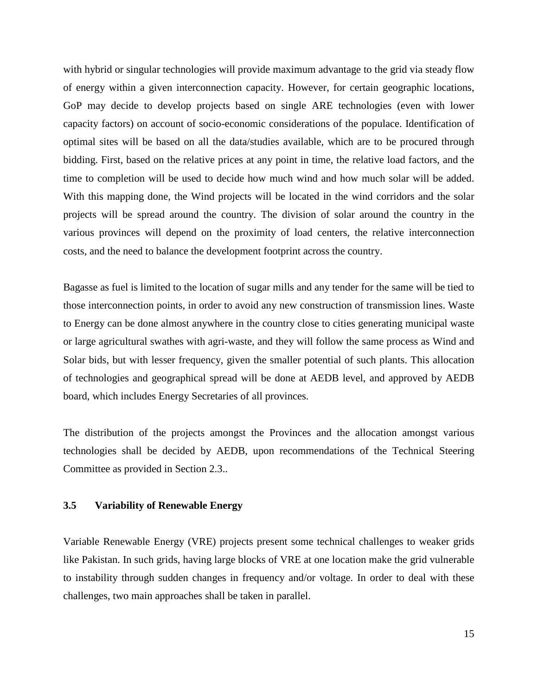with hybrid or singular technologies will provide maximum advantage to the grid via steady flow of energy within a given interconnection capacity. However, for certain geographic locations, GoP may decide to develop projects based on single ARE technologies (even with lower capacity factors) on account of socio-economic considerations of the populace. Identification of optimal sites will be based on all the data/studies available, which are to be procured through bidding. First, based on the relative prices at any point in time, the relative load factors, and the time to completion will be used to decide how much wind and how much solar will be added. With this mapping done, the Wind projects will be located in the wind corridors and the solar projects will be spread around the country. The division of solar around the country in the various provinces will depend on the proximity of load centers, the relative interconnection costs, and the need to balance the development footprint across the country.

Bagasse as fuel is limited to the location of sugar mills and any tender for the same will be tied to those interconnection points, in order to avoid any new construction of transmission lines. Waste to Energy can be done almost anywhere in the country close to cities generating municipal waste or large agricultural swathes with agri-waste, and they will follow the same process as Wind and Solar bids, but with lesser frequency, given the smaller potential of such plants. This allocation of technologies and geographical spread will be done at AEDB level, and approved by AEDB board, which includes Energy Secretaries of all provinces.

The distribution of the projects amongst the Provinces and the allocation amongst various technologies shall be decided by AEDB, upon recommendations of the Technical Steering Committee as provided in Section 2.3..

#### **3.5 Variability of Renewable Energy**

Variable Renewable Energy (VRE) projects present some technical challenges to weaker grids like Pakistan. In such grids, having large blocks of VRE at one location make the grid vulnerable to instability through sudden changes in frequency and/or voltage. In order to deal with these challenges, two main approaches shall be taken in parallel.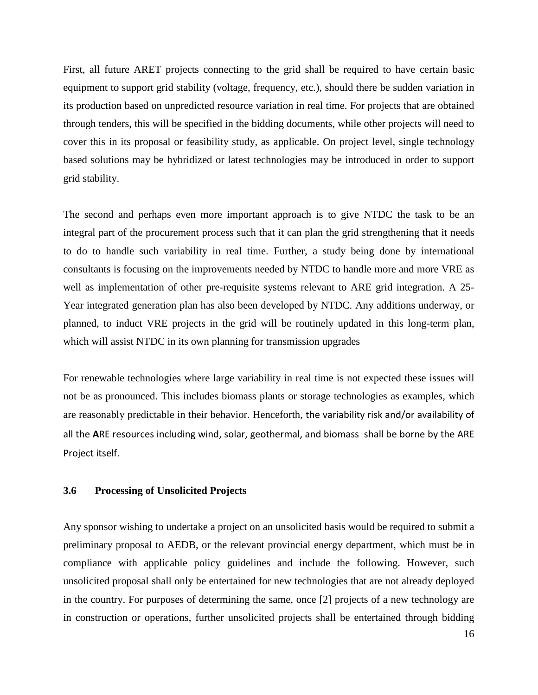First, all future ARET projects connecting to the grid shall be required to have certain basic equipment to support grid stability (voltage, frequency, etc.), should there be sudden variation in its production based on unpredicted resource variation in real time. For projects that are obtained through tenders, this will be specified in the bidding documents, while other projects will need to cover this in its proposal or feasibility study, as applicable. On project level, single technology based solutions may be hybridized or latest technologies may be introduced in order to support grid stability.

The second and perhaps even more important approach is to give NTDC the task to be an integral part of the procurement process such that it can plan the grid strengthening that it needs to do to handle such variability in real time. Further, a study being done by international consultants is focusing on the improvements needed by NTDC to handle more and more VRE as well as implementation of other pre-requisite systems relevant to ARE grid integration. A 25- Year integrated generation plan has also been developed by NTDC. Any additions underway, or planned, to induct VRE projects in the grid will be routinely updated in this long-term plan, which will assist NTDC in its own planning for transmission upgrades

For renewable technologies where large variability in real time is not expected these issues will not be as pronounced. This includes biomass plants or storage technologies as examples, which are reasonably predictable in their behavior. Henceforth, the variability risk and/or availability of all the **A**RE resources including wind, solar, geothermal, and biomass shall be borne by the ARE Project itself.

### **3.6 Processing of Unsolicited Projects**

Any sponsor wishing to undertake a project on an unsolicited basis would be required to submit a preliminary proposal to AEDB, or the relevant provincial energy department, which must be in compliance with applicable policy guidelines and include the following. However, such unsolicited proposal shall only be entertained for new technologies that are not already deployed in the country. For purposes of determining the same, once [2] projects of a new technology are in construction or operations, further unsolicited projects shall be entertained through bidding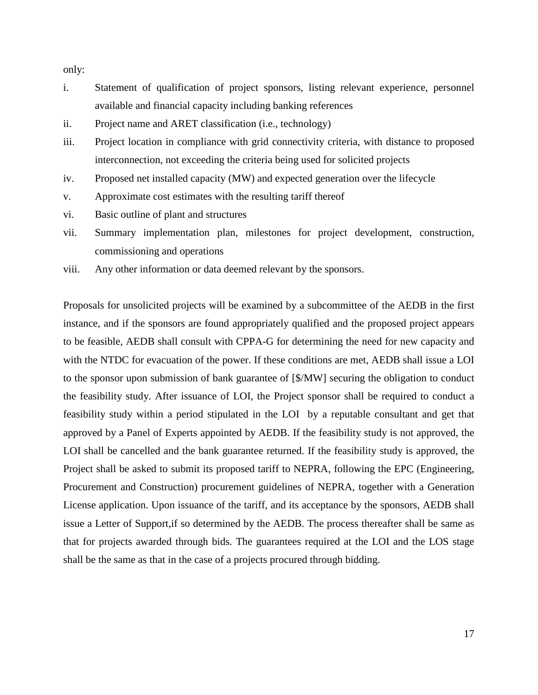only:

- i. Statement of qualification of project sponsors, listing relevant experience, personnel available and financial capacity including banking references
- ii. Project name and ARET classification (i.e., technology)
- iii. Project location in compliance with grid connectivity criteria, with distance to proposed interconnection, not exceeding the criteria being used for solicited projects
- iv. Proposed net installed capacity (MW) and expected generation over the lifecycle
- v. Approximate cost estimates with the resulting tariff thereof
- vi. Basic outline of plant and structures
- vii. Summary implementation plan, milestones for project development, construction, commissioning and operations
- viii. Any other information or data deemed relevant by the sponsors.

Proposals for unsolicited projects will be examined by a subcommittee of the AEDB in the first instance, and if the sponsors are found appropriately qualified and the proposed project appears to be feasible, AEDB shall consult with CPPA-G for determining the need for new capacity and with the NTDC for evacuation of the power. If these conditions are met, AEDB shall issue a LOI to the sponsor upon submission of bank guarantee of [\$/MW] securing the obligation to conduct the feasibility study. After issuance of LOI, the Project sponsor shall be required to conduct a feasibility study within a period stipulated in the LOI by a reputable consultant and get that approved by a Panel of Experts appointed by AEDB. If the feasibility study is not approved, the LOI shall be cancelled and the bank guarantee returned. If the feasibility study is approved, the Project shall be asked to submit its proposed tariff to NEPRA, following the EPC (Engineering, Procurement and Construction) procurement guidelines of NEPRA, together with a Generation License application. Upon issuance of the tariff, and its acceptance by the sponsors, AEDB shall issue a Letter of Support,if so determined by the AEDB. The process thereafter shall be same as that for projects awarded through bids. The guarantees required at the LOI and the LOS stage shall be the same as that in the case of a projects procured through bidding.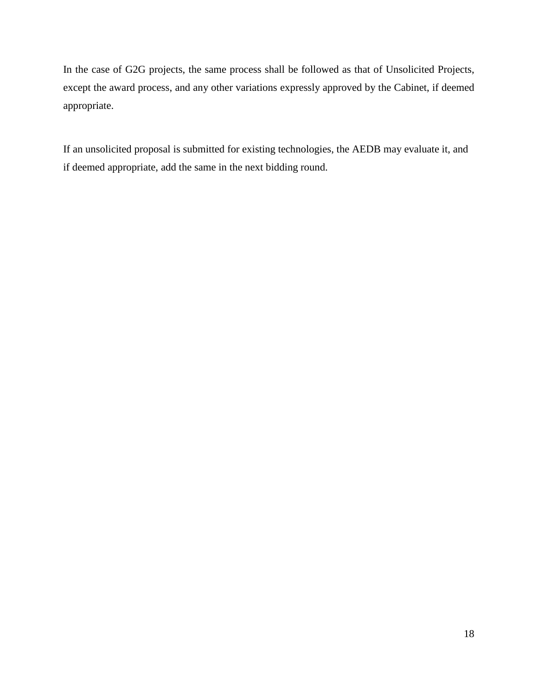In the case of G2G projects, the same process shall be followed as that of Unsolicited Projects, except the award process, and any other variations expressly approved by the Cabinet, if deemed appropriate.

If an unsolicited proposal is submitted for existing technologies, the AEDB may evaluate it, and if deemed appropriate, add the same in the next bidding round.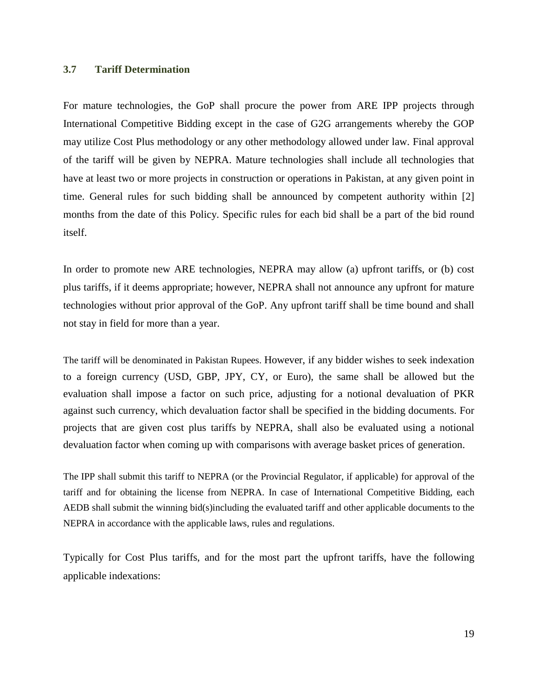## **3.7 Tariff Determination**

For mature technologies, the GoP shall procure the power from ARE IPP projects through International Competitive Bidding except in the case of G2G arrangements whereby the GOP may utilize Cost Plus methodology or any other methodology allowed under law. Final approval of the tariff will be given by NEPRA. Mature technologies shall include all technologies that have at least two or more projects in construction or operations in Pakistan, at any given point in time. General rules for such bidding shall be announced by competent authority within [2] months from the date of this Policy. Specific rules for each bid shall be a part of the bid round itself.

In order to promote new ARE technologies, NEPRA may allow (a) upfront tariffs, or (b) cost plus tariffs, if it deems appropriate; however, NEPRA shall not announce any upfront for mature technologies without prior approval of the GoP. Any upfront tariff shall be time bound and shall not stay in field for more than a year.

The tariff will be denominated in Pakistan Rupees. However, if any bidder wishes to seek indexation to a foreign currency (USD, GBP, JPY, CY, or Euro), the same shall be allowed but the evaluation shall impose a factor on such price, adjusting for a notional devaluation of PKR against such currency, which devaluation factor shall be specified in the bidding documents. For projects that are given cost plus tariffs by NEPRA, shall also be evaluated using a notional devaluation factor when coming up with comparisons with average basket prices of generation.

The IPP shall submit this tariff to NEPRA (or the Provincial Regulator, if applicable) for approval of the tariff and for obtaining the license from NEPRA. In case of International Competitive Bidding, each AEDB shall submit the winning bid(s)including the evaluated tariff and other applicable documents to the NEPRA in accordance with the applicable laws, rules and regulations.

Typically for Cost Plus tariffs, and for the most part the upfront tariffs, have the following applicable indexations: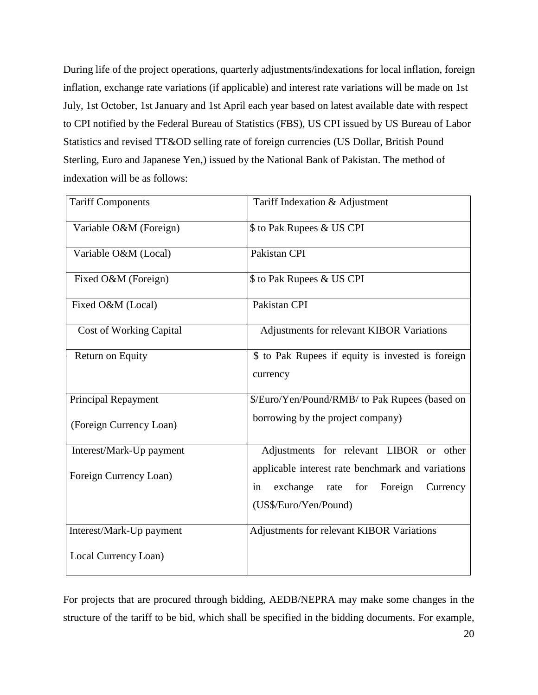During life of the project operations, quarterly adjustments/indexations for local inflation, foreign inflation, exchange rate variations (if applicable) and interest rate variations will be made on 1st July, 1st October, 1st January and 1st April each year based on latest available date with respect to CPI notified by the Federal Bureau of Statistics (FBS), US CPI issued by US Bureau of Labor Statistics and revised TT&OD selling rate of foreign currencies (US Dollar, British Pound Sterling, Euro and Japanese Yen,) issued by the National Bank of Pakistan. The method of indexation will be as follows:

| <b>Tariff Components</b>       | Tariff Indexation & Adjustment                                                                                               |
|--------------------------------|------------------------------------------------------------------------------------------------------------------------------|
| Variable O&M (Foreign)         | \$ to Pak Rupees & US CPI                                                                                                    |
| Variable O&M (Local)           | Pakistan CPI                                                                                                                 |
| Fixed O&M (Foreign)            | \$ to Pak Rupees & US CPI                                                                                                    |
| Fixed O&M (Local)              | Pakistan CPI                                                                                                                 |
| <b>Cost of Working Capital</b> | Adjustments for relevant KIBOR Variations                                                                                    |
| Return on Equity               | \$ to Pak Rupees if equity is invested is foreign<br>currency                                                                |
| Principal Repayment            | \$/Euro/Yen/Pound/RMB/ to Pak Rupees (based on                                                                               |
| (Foreign Currency Loan)        | borrowing by the project company)                                                                                            |
| Interest/Mark-Up payment       | Adjustments for relevant LIBOR or other                                                                                      |
| Foreign Currency Loan)         | applicable interest rate benchmark and variations<br>exchange<br>rate for Foreign<br>in<br>Currency<br>(US\$/Euro/Yen/Pound) |
| Interest/Mark-Up payment       | Adjustments for relevant KIBOR Variations                                                                                    |
| Local Currency Loan)           |                                                                                                                              |

For projects that are procured through bidding, AEDB/NEPRA may make some changes in the structure of the tariff to be bid, which shall be specified in the bidding documents. For example,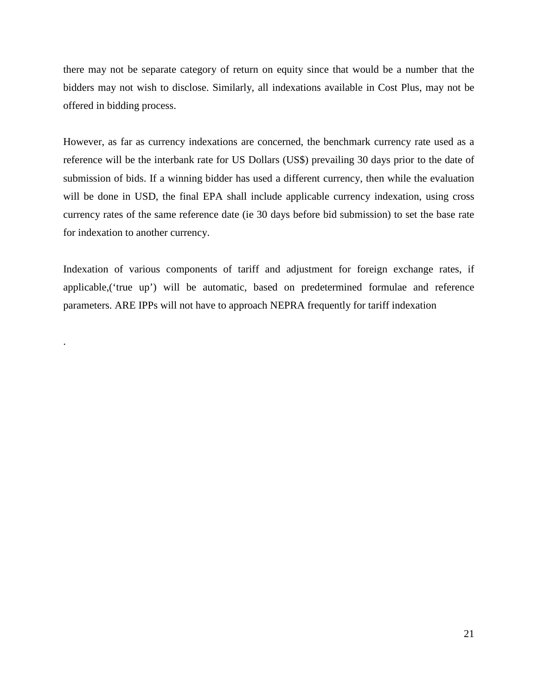there may not be separate category of return on equity since that would be a number that the bidders may not wish to disclose. Similarly, all indexations available in Cost Plus, may not be offered in bidding process.

However, as far as currency indexations are concerned, the benchmark currency rate used as a reference will be the interbank rate for US Dollars (US\$) prevailing 30 days prior to the date of submission of bids. If a winning bidder has used a different currency, then while the evaluation will be done in USD, the final EPA shall include applicable currency indexation, using cross currency rates of the same reference date (ie 30 days before bid submission) to set the base rate for indexation to another currency.

Indexation of various components of tariff and adjustment for foreign exchange rates, if applicable,('true up') will be automatic, based on predetermined formulae and reference parameters. ARE IPPs will not have to approach NEPRA frequently for tariff indexation

.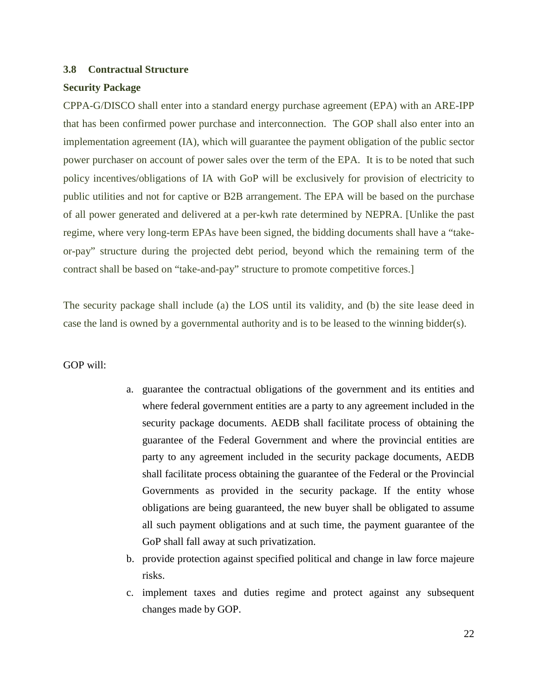#### **3.8 Contractual Structure**

## **Security Package**

CPPA-G/DISCO shall enter into a standard energy purchase agreement (EPA) with an ARE-IPP that has been confirmed power purchase and interconnection. The GOP shall also enter into an implementation agreement (IA), which will guarantee the payment obligation of the public sector power purchaser on account of power sales over the term of the EPA. It is to be noted that such policy incentives/obligations of IA with GoP will be exclusively for provision of electricity to public utilities and not for captive or B2B arrangement. The EPA will be based on the purchase of all power generated and delivered at a per-kwh rate determined by NEPRA. [Unlike the past regime, where very long-term EPAs have been signed, the bidding documents shall have a "takeor-pay" structure during the projected debt period, beyond which the remaining term of the contract shall be based on "take-and-pay" structure to promote competitive forces.]

The security package shall include (a) the LOS until its validity, and (b) the site lease deed in case the land is owned by a governmental authority and is to be leased to the winning bidder(s).

# GOP will:

- a. guarantee the contractual obligations of the government and its entities and where federal government entities are a party to any agreement included in the security package documents. AEDB shall facilitate process of obtaining the guarantee of the Federal Government and where the provincial entities are party to any agreement included in the security package documents, AEDB shall facilitate process obtaining the guarantee of the Federal or the Provincial Governments as provided in the security package. If the entity whose obligations are being guaranteed, the new buyer shall be obligated to assume all such payment obligations and at such time, the payment guarantee of the GoP shall fall away at such privatization.
- b. provide protection against specified political and change in law force majeure risks.
- c. implement taxes and duties regime and protect against any subsequent changes made by GOP.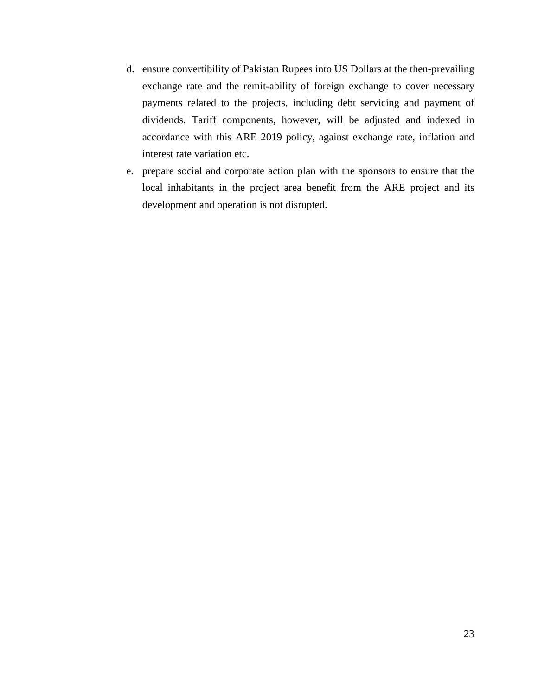- d. ensure convertibility of Pakistan Rupees into US Dollars at the then-prevailing exchange rate and the remit-ability of foreign exchange to cover necessary payments related to the projects, including debt servicing and payment of dividends. Tariff components, however, will be adjusted and indexed in accordance with this ARE 2019 policy, against exchange rate, inflation and interest rate variation etc.
- e. prepare social and corporate action plan with the sponsors to ensure that the local inhabitants in the project area benefit from the ARE project and its development and operation is not disrupted.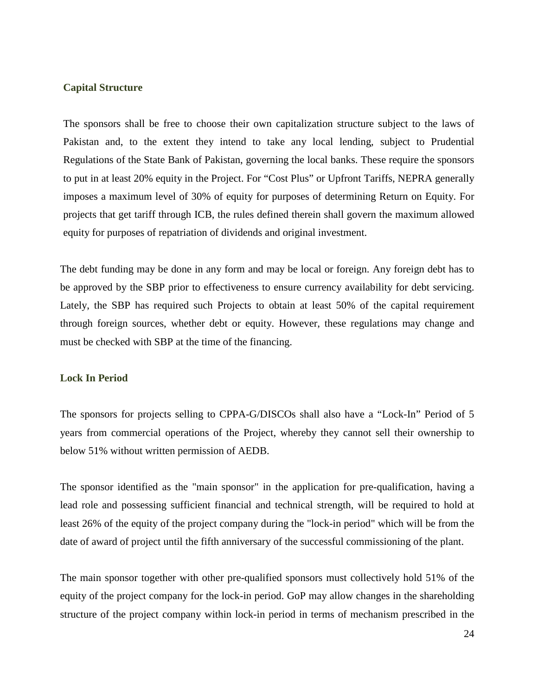#### **Capital Structure**

The sponsors shall be free to choose their own capitalization structure subject to the laws of Pakistan and, to the extent they intend to take any local lending, subject to Prudential Regulations of the State Bank of Pakistan, governing the local banks. These require the sponsors to put in at least 20% equity in the Project. For "Cost Plus" or Upfront Tariffs, NEPRA generally imposes a maximum level of 30% of equity for purposes of determining Return on Equity. For projects that get tariff through ICB, the rules defined therein shall govern the maximum allowed equity for purposes of repatriation of dividends and original investment.

The debt funding may be done in any form and may be local or foreign. Any foreign debt has to be approved by the SBP prior to effectiveness to ensure currency availability for debt servicing. Lately, the SBP has required such Projects to obtain at least 50% of the capital requirement through foreign sources, whether debt or equity. However, these regulations may change and must be checked with SBP at the time of the financing.

#### **Lock In Period**

The sponsors for projects selling to CPPA-G/DISCOs shall also have a "Lock-In" Period of 5 years from commercial operations of the Project, whereby they cannot sell their ownership to below 51% without written permission of AEDB.

The sponsor identified as the "main sponsor" in the application for pre-qualification, having a lead role and possessing sufficient financial and technical strength, will be required to hold at least 26% of the equity of the project company during the "lock-in period" which will be from the date of award of project until the fifth anniversary of the successful commissioning of the plant.

The main sponsor together with other pre-qualified sponsors must collectively hold 51% of the equity of the project company for the lock-in period. GoP may allow changes in the shareholding structure of the project company within lock-in period in terms of mechanism prescribed in the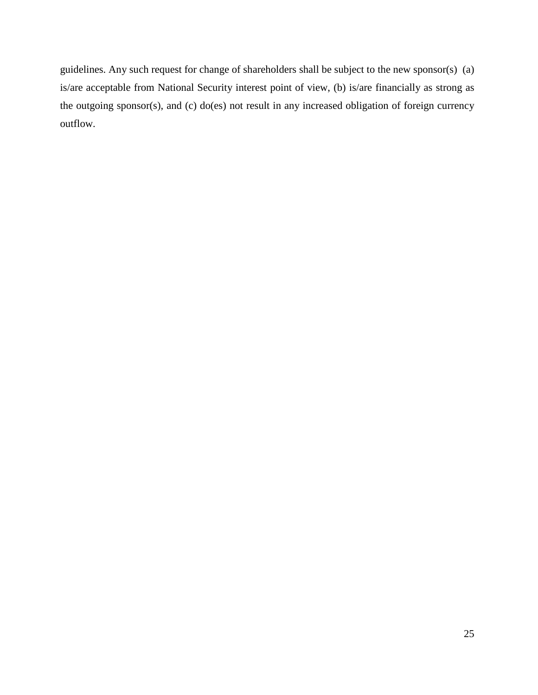guidelines. Any such request for change of shareholders shall be subject to the new sponsor(s) (a) is/are acceptable from National Security interest point of view, (b) is/are financially as strong as the outgoing sponsor(s), and (c) do(es) not result in any increased obligation of foreign currency outflow.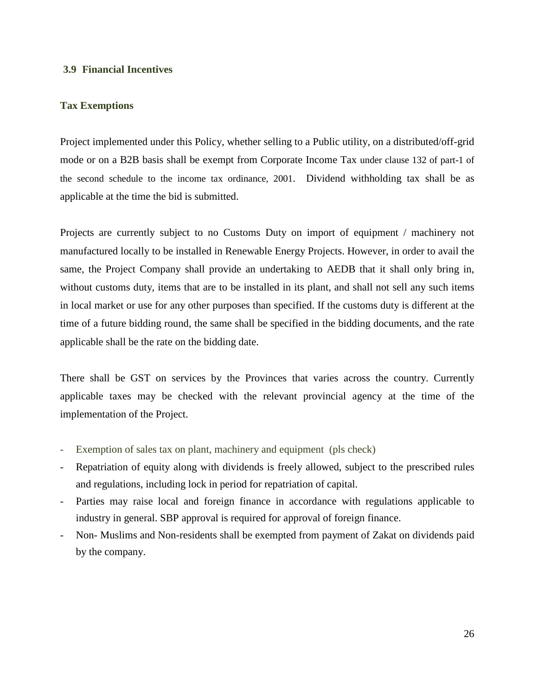### **3.9 Financial Incentives**

## **Tax Exemptions**

Project implemented under this Policy, whether selling to a Public utility, on a distributed/off-grid mode or on a B2B basis shall be exempt from Corporate Income Tax under clause 132 of part-1 of the second schedule to the income tax ordinance, 2001. Dividend withholding tax shall be as applicable at the time the bid is submitted.

Projects are currently subject to no Customs Duty on import of equipment / machinery not manufactured locally to be installed in Renewable Energy Projects. However, in order to avail the same, the Project Company shall provide an undertaking to AEDB that it shall only bring in, without customs duty, items that are to be installed in its plant, and shall not sell any such items in local market or use for any other purposes than specified. If the customs duty is different at the time of a future bidding round, the same shall be specified in the bidding documents, and the rate applicable shall be the rate on the bidding date.

There shall be GST on services by the Provinces that varies across the country. Currently applicable taxes may be checked with the relevant provincial agency at the time of the implementation of the Project.

- Exemption of sales tax on plant, machinery and equipment (pls check)
- Repatriation of equity along with dividends is freely allowed, subject to the prescribed rules and regulations, including lock in period for repatriation of capital.
- Parties may raise local and foreign finance in accordance with regulations applicable to industry in general. SBP approval is required for approval of foreign finance.
- Non- Muslims and Non-residents shall be exempted from payment of Zakat on dividends paid by the company.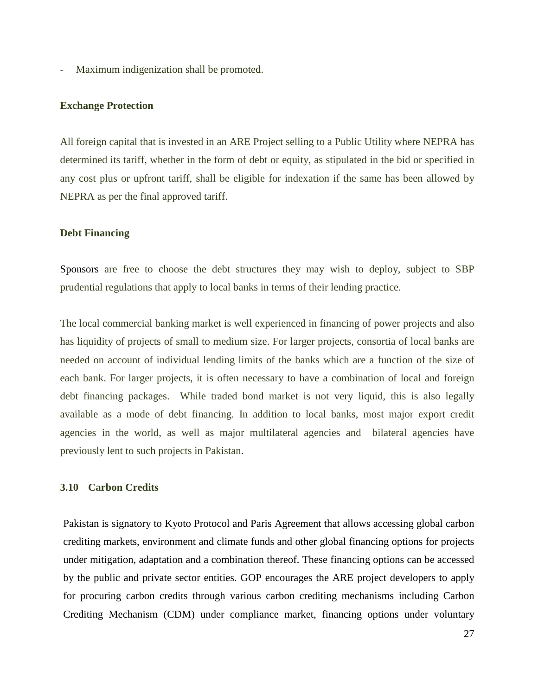- Maximum indigenization shall be promoted.

#### **Exchange Protection**

All foreign capital that is invested in an ARE Project selling to a Public Utility where NEPRA has determined its tariff, whether in the form of debt or equity, as stipulated in the bid or specified in any cost plus or upfront tariff, shall be eligible for indexation if the same has been allowed by NEPRA as per the final approved tariff.

#### **Debt Financing**

Sponsors are free to choose the debt structures they may wish to deploy, subject to SBP prudential regulations that apply to local banks in terms of their lending practice.

The local commercial banking market is well experienced in financing of power projects and also has liquidity of projects of small to medium size. For larger projects, consortia of local banks are needed on account of individual lending limits of the banks which are a function of the size of each bank. For larger projects, it is often necessary to have a combination of local and foreign debt financing packages. While traded bond market is not very liquid, this is also legally available as a mode of debt financing. In addition to local banks, most major export credit agencies in the world, as well as major multilateral agencies and bilateral agencies have previously lent to such projects in Pakistan.

### **3.10 Carbon Credits**

Pakistan is signatory to Kyoto Protocol and Paris Agreement that allows accessing global carbon crediting markets, environment and climate funds and other global financing options for projects under mitigation, adaptation and a combination thereof. These financing options can be accessed by the public and private sector entities. GOP encourages the ARE project developers to apply for procuring carbon credits through various carbon crediting mechanisms including Carbon Crediting Mechanism (CDM) under compliance market, financing options under voluntary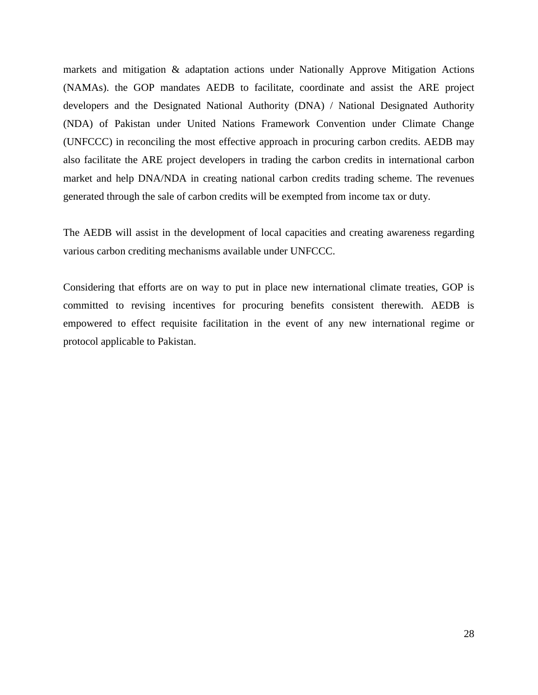markets and mitigation & adaptation actions under Nationally Approve Mitigation Actions (NAMAs). the GOP mandates AEDB to facilitate, coordinate and assist the ARE project developers and the Designated National Authority (DNA) / National Designated Authority (NDA) of Pakistan under United Nations Framework Convention under Climate Change (UNFCCC) in reconciling the most effective approach in procuring carbon credits. AEDB may also facilitate the ARE project developers in trading the carbon credits in international carbon market and help DNA/NDA in creating national carbon credits trading scheme. The revenues generated through the sale of carbon credits will be exempted from income tax or duty.

The AEDB will assist in the development of local capacities and creating awareness regarding various carbon crediting mechanisms available under UNFCCC.

Considering that efforts are on way to put in place new international climate treaties, GOP is committed to revising incentives for procuring benefits consistent therewith. AEDB is empowered to effect requisite facilitation in the event of any new international regime or protocol applicable to Pakistan.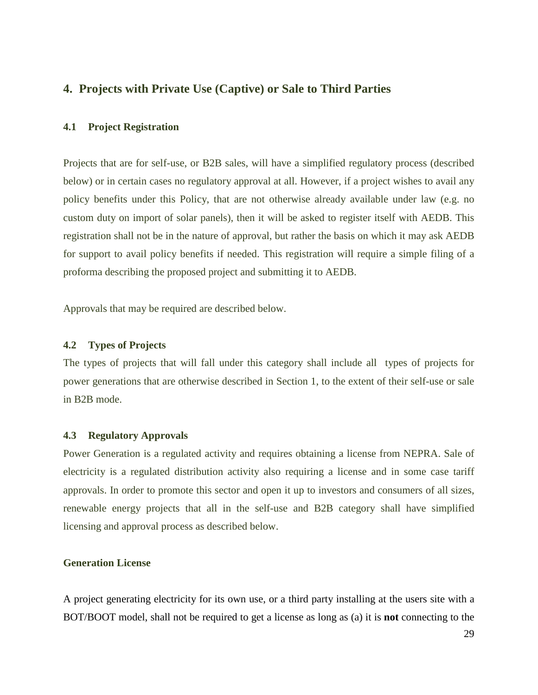# **4. Projects with Private Use (Captive) or Sale to Third Parties**

#### **4.1 Project Registration**

Projects that are for self-use, or B2B sales, will have a simplified regulatory process (described below) or in certain cases no regulatory approval at all. However, if a project wishes to avail any policy benefits under this Policy, that are not otherwise already available under law (e.g. no custom duty on import of solar panels), then it will be asked to register itself with AEDB. This registration shall not be in the nature of approval, but rather the basis on which it may ask AEDB for support to avail policy benefits if needed. This registration will require a simple filing of a proforma describing the proposed project and submitting it to AEDB.

Approvals that may be required are described below.

#### **4.2 Types of Projects**

The types of projects that will fall under this category shall include all types of projects for power generations that are otherwise described in Section 1, to the extent of their self-use or sale in B2B mode.

#### **4.3 Regulatory Approvals**

Power Generation is a regulated activity and requires obtaining a license from NEPRA. Sale of electricity is a regulated distribution activity also requiring a license and in some case tariff approvals. In order to promote this sector and open it up to investors and consumers of all sizes, renewable energy projects that all in the self-use and B2B category shall have simplified licensing and approval process as described below.

#### **Generation License**

A project generating electricity for its own use, or a third party installing at the users site with a BOT/BOOT model, shall not be required to get a license as long as (a) it is **not** connecting to the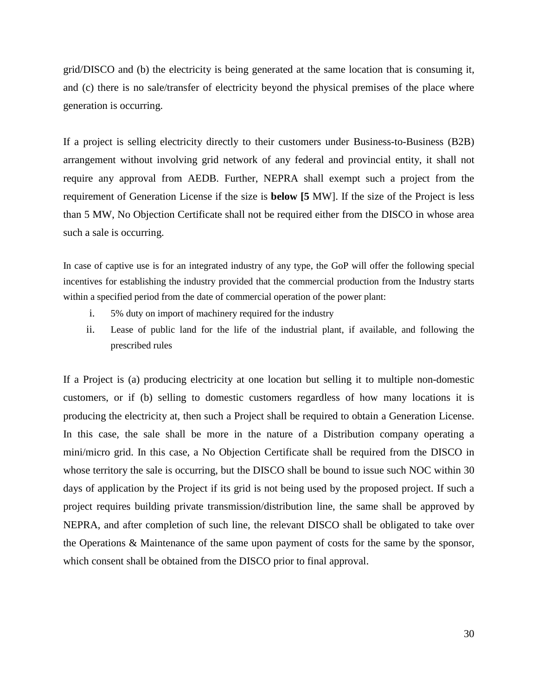grid/DISCO and (b) the electricity is being generated at the same location that is consuming it, and (c) there is no sale/transfer of electricity beyond the physical premises of the place where generation is occurring.

If a project is selling electricity directly to their customers under Business-to-Business (B2B) arrangement without involving grid network of any federal and provincial entity, it shall not require any approval from AEDB. Further, NEPRA shall exempt such a project from the requirement of Generation License if the size is **below [5** MW]. If the size of the Project is less than 5 MW, No Objection Certificate shall not be required either from the DISCO in whose area such a sale is occurring.

In case of captive use is for an integrated industry of any type, the GoP will offer the following special incentives for establishing the industry provided that the commercial production from the Industry starts within a specified period from the date of commercial operation of the power plant:

- i. 5% duty on import of machinery required for the industry
- ii. Lease of public land for the life of the industrial plant, if available, and following the prescribed rules

If a Project is (a) producing electricity at one location but selling it to multiple non-domestic customers, or if (b) selling to domestic customers regardless of how many locations it is producing the electricity at, then such a Project shall be required to obtain a Generation License. In this case, the sale shall be more in the nature of a Distribution company operating a mini/micro grid. In this case, a No Objection Certificate shall be required from the DISCO in whose territory the sale is occurring, but the DISCO shall be bound to issue such NOC within 30 days of application by the Project if its grid is not being used by the proposed project. If such a project requires building private transmission/distribution line, the same shall be approved by NEPRA, and after completion of such line, the relevant DISCO shall be obligated to take over the Operations & Maintenance of the same upon payment of costs for the same by the sponsor, which consent shall be obtained from the DISCO prior to final approval.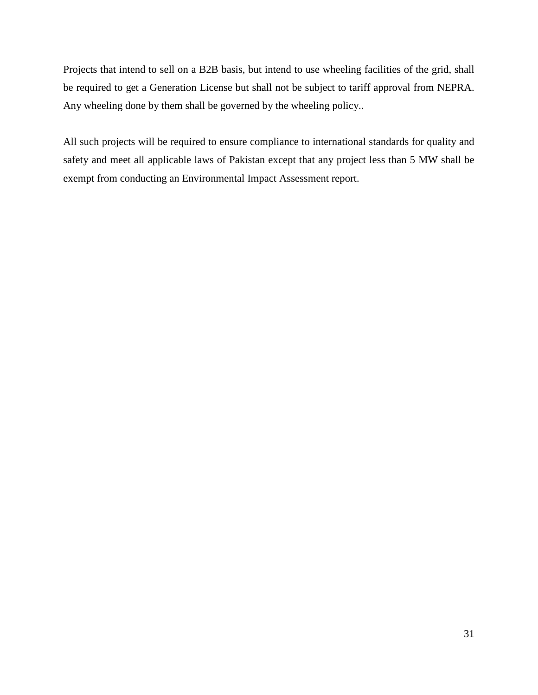Projects that intend to sell on a B2B basis, but intend to use wheeling facilities of the grid, shall be required to get a Generation License but shall not be subject to tariff approval from NEPRA. Any wheeling done by them shall be governed by the wheeling policy..

All such projects will be required to ensure compliance to international standards for quality and safety and meet all applicable laws of Pakistan except that any project less than 5 MW shall be exempt from conducting an Environmental Impact Assessment report.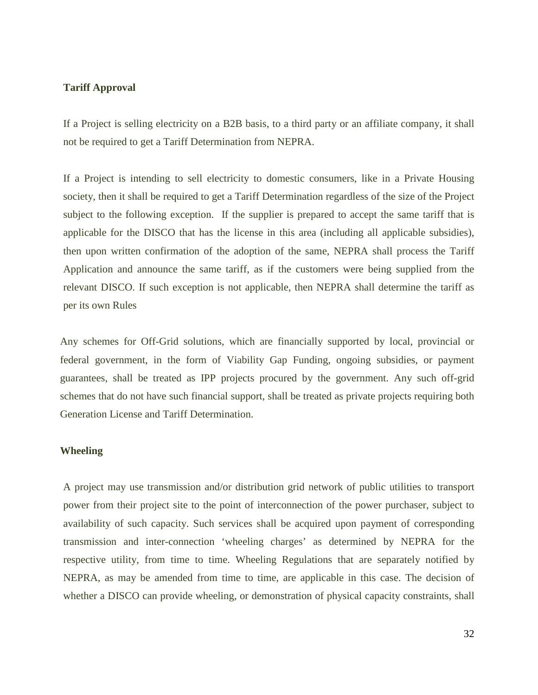#### **Tariff Approval**

If a Project is selling electricity on a B2B basis, to a third party or an affiliate company, it shall not be required to get a Tariff Determination from NEPRA.

If a Project is intending to sell electricity to domestic consumers, like in a Private Housing society, then it shall be required to get a Tariff Determination regardless of the size of the Project subject to the following exception. If the supplier is prepared to accept the same tariff that is applicable for the DISCO that has the license in this area (including all applicable subsidies), then upon written confirmation of the adoption of the same, NEPRA shall process the Tariff Application and announce the same tariff, as if the customers were being supplied from the relevant DISCO. If such exception is not applicable, then NEPRA shall determine the tariff as per its own Rules

Any schemes for Off-Grid solutions, which are financially supported by local, provincial or federal government, in the form of Viability Gap Funding, ongoing subsidies, or payment guarantees, shall be treated as IPP projects procured by the government. Any such off-grid schemes that do not have such financial support, shall be treated as private projects requiring both Generation License and Tariff Determination.

### **Wheeling**

A project may use transmission and/or distribution grid network of public utilities to transport power from their project site to the point of interconnection of the power purchaser, subject to availability of such capacity. Such services shall be acquired upon payment of corresponding transmission and inter-connection 'wheeling charges' as determined by NEPRA for the respective utility, from time to time. Wheeling Regulations that are separately notified by NEPRA, as may be amended from time to time, are applicable in this case. The decision of whether a DISCO can provide wheeling, or demonstration of physical capacity constraints, shall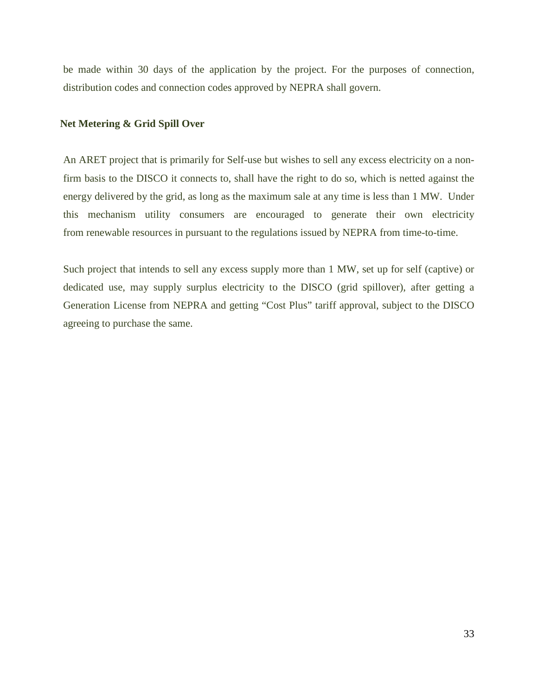be made within 30 days of the application by the project. For the purposes of connection, distribution codes and connection codes approved by NEPRA shall govern.

# **Net Metering & Grid Spill Over**

An ARET project that is primarily for Self-use but wishes to sell any excess electricity on a nonfirm basis to the DISCO it connects to, shall have the right to do so, which is netted against the energy delivered by the grid, as long as the maximum sale at any time is less than 1 MW. Under this mechanism utility consumers are encouraged to generate their own electricity from renewable resources in pursuant to the regulations issued by NEPRA from time-to-time.

Such project that intends to sell any excess supply more than 1 MW, set up for self (captive) or dedicated use, may supply surplus electricity to the DISCO (grid spillover), after getting a Generation License from NEPRA and getting "Cost Plus" tariff approval, subject to the DISCO agreeing to purchase the same.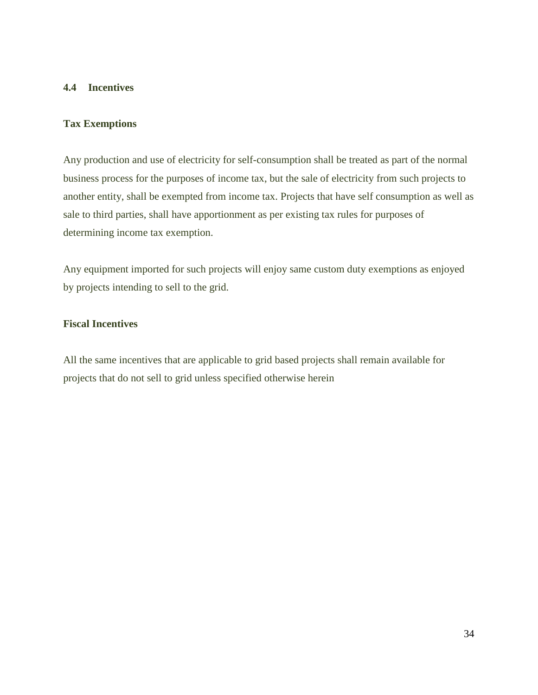# **4.4 Incentives**

### **Tax Exemptions**

Any production and use of electricity for self-consumption shall be treated as part of the normal business process for the purposes of income tax, but the sale of electricity from such projects to another entity, shall be exempted from income tax. Projects that have self consumption as well as sale to third parties, shall have apportionment as per existing tax rules for purposes of determining income tax exemption.

Any equipment imported for such projects will enjoy same custom duty exemptions as enjoyed by projects intending to sell to the grid.

# **Fiscal Incentives**

All the same incentives that are applicable to grid based projects shall remain available for projects that do not sell to grid unless specified otherwise herein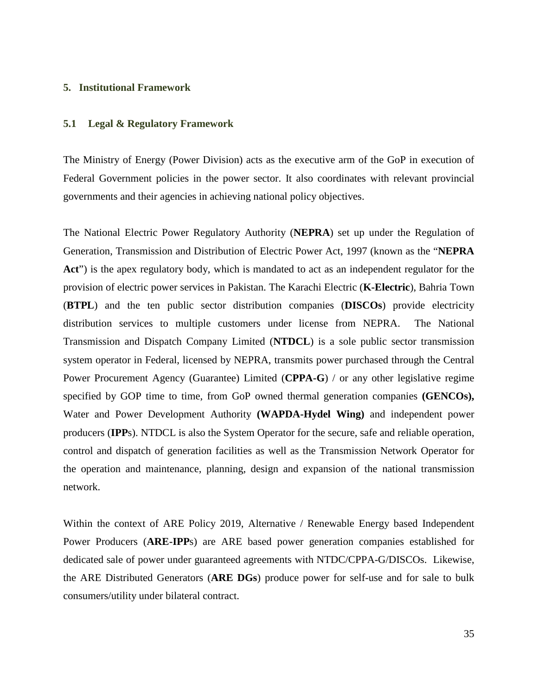#### **5. Institutional Framework**

# **5.1 Legal & Regulatory Framework**

The Ministry of Energy (Power Division) acts as the executive arm of the GoP in execution of Federal Government policies in the power sector. It also coordinates with relevant provincial governments and their agencies in achieving national policy objectives.

The National Electric Power Regulatory Authority (**NEPRA**) set up under the Regulation of Generation, Transmission and Distribution of Electric Power Act, 1997 (known as the "**NEPRA Act**") is the apex regulatory body, which is mandated to act as an independent regulator for the provision of electric power services in Pakistan. The Karachi Electric (**K-Electric**), Bahria Town (**BTPL**) and the ten public sector distribution companies (**DISCOs**) provide electricity distribution services to multiple customers under license from NEPRA. The National Transmission and Dispatch Company Limited (**NTDCL**) is a sole public sector transmission system operator in Federal, licensed by NEPRA, transmits power purchased through the Central Power Procurement Agency (Guarantee) Limited (**CPPA-G**) / or any other legislative regime specified by GOP time to time, from GoP owned thermal generation companies **(GENCOs),**  Water and Power Development Authority **(WAPDA-Hydel Wing)** and independent power producers (**IPP**s). NTDCL is also the System Operator for the secure, safe and reliable operation, control and dispatch of generation facilities as well as the Transmission Network Operator for the operation and maintenance, planning, design and expansion of the national transmission network.

Within the context of ARE Policy 2019, Alternative / Renewable Energy based Independent Power Producers (**ARE-IPP**s) are ARE based power generation companies established for dedicated sale of power under guaranteed agreements with NTDC/CPPA-G/DISCOs. Likewise, the ARE Distributed Generators (**ARE DGs**) produce power for self-use and for sale to bulk consumers/utility under bilateral contract.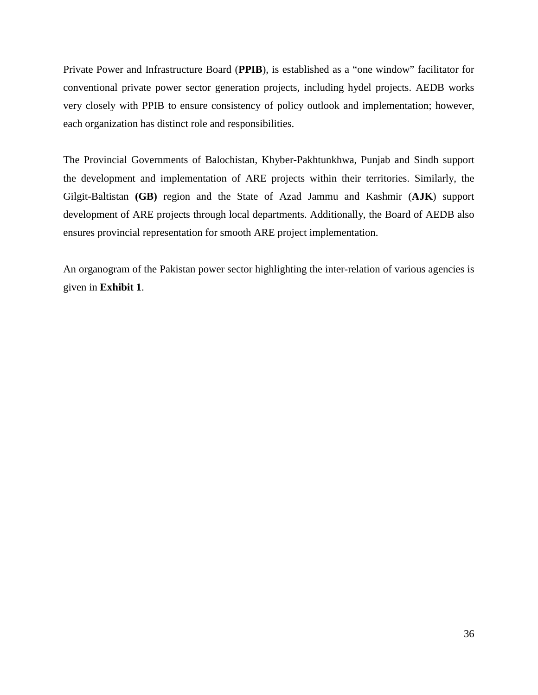Private Power and Infrastructure Board (**PPIB**), is established as a "one window" facilitator for conventional private power sector generation projects, including hydel projects. AEDB works very closely with PPIB to ensure consistency of policy outlook and implementation; however, each organization has distinct role and responsibilities.

The Provincial Governments of Balochistan, Khyber-Pakhtunkhwa, Punjab and Sindh support the development and implementation of ARE projects within their territories. Similarly, the Gilgit-Baltistan **(GB)** region and the State of Azad Jammu and Kashmir (**AJK**) support development of ARE projects through local departments. Additionally, the Board of AEDB also ensures provincial representation for smooth ARE project implementation.

An organogram of the Pakistan power sector highlighting the inter-relation of various agencies is given in **Exhibit 1**.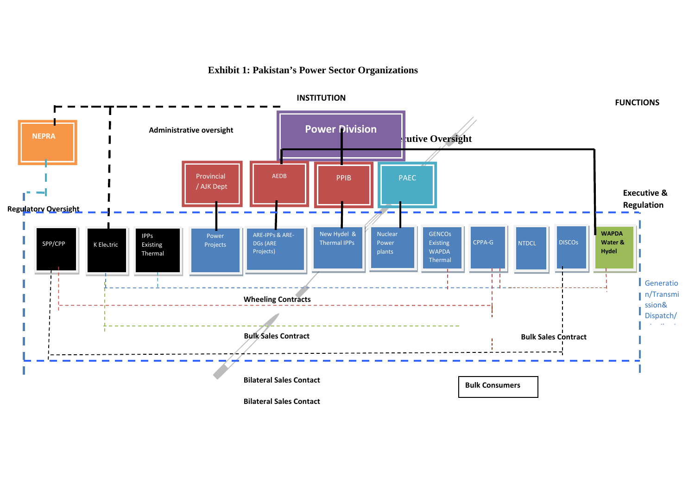# **Exhibit 1: Pakistan's Power Sector Organizations**

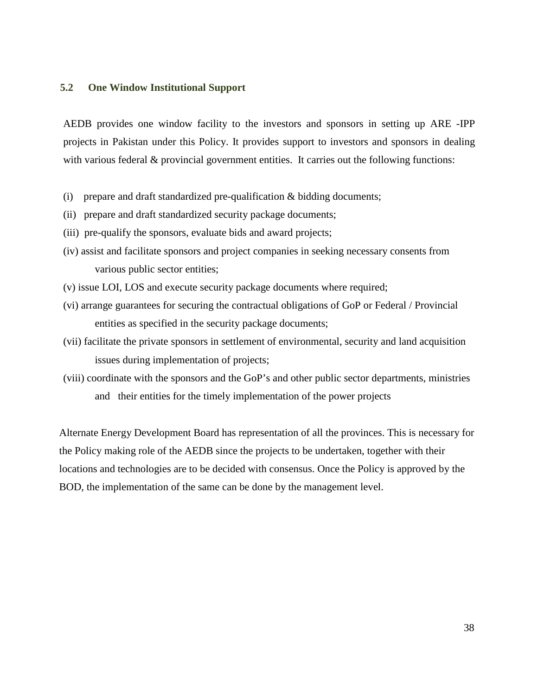# **5.2 One Window Institutional Support**

AEDB provides one window facility to the investors and sponsors in setting up ARE -IPP projects in Pakistan under this Policy. It provides support to investors and sponsors in dealing with various federal  $\&$  provincial government entities. It carries out the following functions:

- (i) prepare and draft standardized pre-qualification & bidding documents;
- (ii) prepare and draft standardized security package documents;
- (iii) pre-qualify the sponsors, evaluate bids and award projects;
- (iv) assist and facilitate sponsors and project companies in seeking necessary consents from various public sector entities;
- (v) issue LOI, LOS and execute security package documents where required;
- (vi) arrange guarantees for securing the contractual obligations of GoP or Federal / Provincial entities as specified in the security package documents;
- (vii) facilitate the private sponsors in settlement of environmental, security and land acquisition issues during implementation of projects;
- (viii) coordinate with the sponsors and the GoP's and other public sector departments, ministries and their entities for the timely implementation of the power projects

Alternate Energy Development Board has representation of all the provinces. This is necessary for the Policy making role of the AEDB since the projects to be undertaken, together with their locations and technologies are to be decided with consensus. Once the Policy is approved by the BOD, the implementation of the same can be done by the management level.